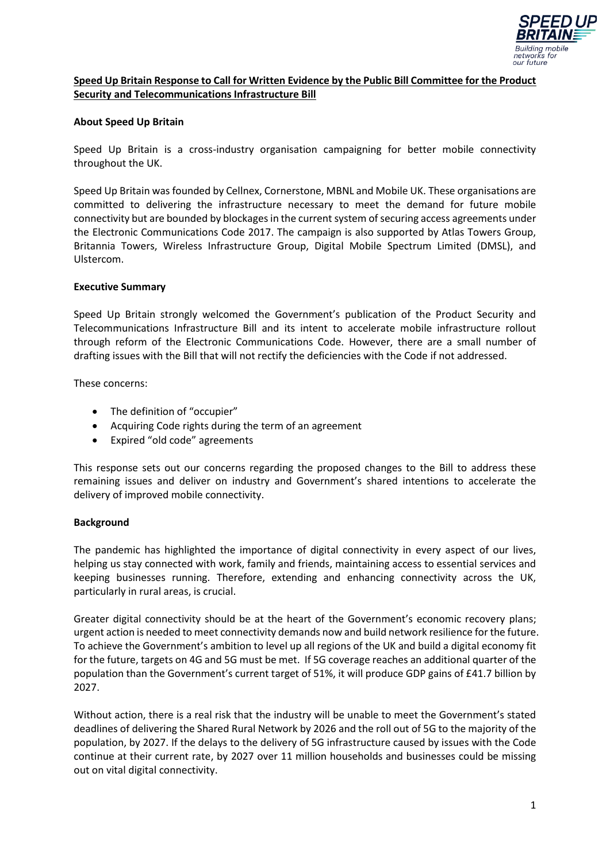

## **Speed Up Britain Response to Call for Written Evidence by the Public Bill Committee for the Product Security and Telecommunications Infrastructure Bill**

#### **About Speed Up Britain**

Speed Up Britain is a cross-industry organisation campaigning for better mobile connectivity throughout the UK.

Speed Up Britain was founded by Cellnex, Cornerstone, MBNL and Mobile UK. These organisations are committed to delivering the infrastructure necessary to meet the demand for future mobile connectivity but are bounded by blockagesin the current system of securing access agreements under the Electronic Communications Code 2017. The campaign is also supported by Atlas Towers Group, Britannia Towers, Wireless Infrastructure Group, Digital Mobile Spectrum Limited (DMSL), and Ulstercom.

#### **Executive Summary**

Speed Up Britain strongly welcomed the Government's publication of the Product Security and Telecommunications Infrastructure Bill and its intent to accelerate mobile infrastructure rollout through reform of the Electronic Communications Code. However, there are a small number of drafting issues with the Bill that will not rectify the deficiencies with the Code if not addressed.

These concerns:

- The definition of "occupier"
- Acquiring Code rights during the term of an agreement
- Expired "old code" agreements

This response sets out our concerns regarding the proposed changes to the Bill to address these remaining issues and deliver on industry and Government's shared intentions to accelerate the delivery of improved mobile connectivity.

#### **Background**

The pandemic has highlighted the importance of digital connectivity in every aspect of our lives, helping us stay connected with work, family and friends, maintaining access to essential services and keeping businesses running. Therefore, extending and enhancing connectivity across the UK, particularly in rural areas, is crucial.

Greater digital connectivity should be at the heart of the Government's economic recovery plans; urgent action is needed to meet connectivity demands now and build network resilience for the future. To achieve the Government's ambition to level up all regions of the UK and build a digital economy fit for the future, targets on 4G and 5G must be met. If 5G coverage reaches an additional quarter of the population than the Government's current target of 51%, it will produce GDP gains of £41.7 billion by 2027.

Without action, there is a real risk that the industry will be unable to meet the Government's stated deadlines of delivering the Shared Rural Network by 2026 and the roll out of 5G to the majority of the population, by 2027. If the delays to the delivery of 5G infrastructure caused by issues with the Code continue at their current rate, by 2027 over 11 million households and businesses could be missing out on vital digital connectivity.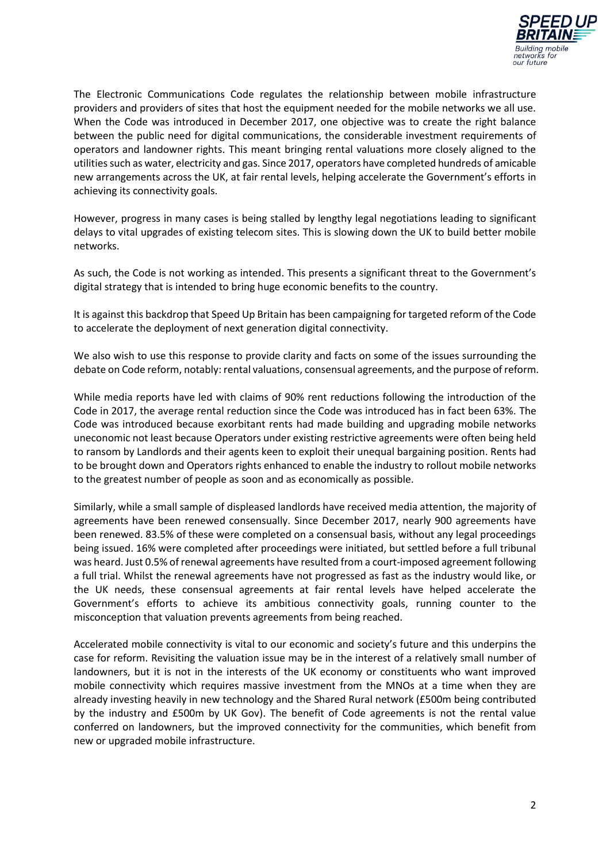

The Electronic Communications Code regulates the relationship between mobile infrastructure providers and providers of sites that host the equipment needed for the mobile networks we all use. When the Code was introduced in December 2017, one objective was to create the right balance between the public need for digital communications, the considerable investment requirements of operators and landowner rights. This meant bringing rental valuations more closely aligned to the utilities such as water, electricity and gas. Since 2017, operators have completed hundreds of amicable new arrangements across the UK, at fair rental levels, helping accelerate the Government's efforts in achieving its connectivity goals.

However, progress in many cases is being stalled by lengthy legal negotiations leading to significant delays to vital upgrades of existing telecom sites. This is slowing down the UK to build better mobile networks.

As such, the Code is not working as intended. This presents a significant threat to the Government's digital strategy that is intended to bring huge economic benefits to the country.

It is against this backdrop that Speed Up Britain has been campaigning for targeted reform of the Code to accelerate the deployment of next generation digital connectivity.

We also wish to use this response to provide clarity and facts on some of the issues surrounding the debate on Code reform, notably: rental valuations, consensual agreements, and the purpose of reform.

While media reports have led with claims of 90% rent reductions following the introduction of the Code in 2017, the average rental reduction since the Code was introduced has in fact been 63%. The Code was introduced because exorbitant rents had made building and upgrading mobile networks uneconomic not least because Operators under existing restrictive agreements were often being held to ransom by Landlords and their agents keen to exploit their unequal bargaining position. Rents had to be brought down and Operators rights enhanced to enable the industry to rollout mobile networks to the greatest number of people as soon and as economically as possible.

Similarly, while a small sample of displeased landlords have received media attention, the majority of agreements have been renewed consensually. Since December 2017, nearly 900 agreements have been renewed. 83.5% of these were completed on a consensual basis, without any legal proceedings being issued. 16% were completed after proceedings were initiated, but settled before a full tribunal was heard. Just 0.5% of renewal agreements have resulted from a court-imposed agreement following a full trial. Whilst the renewal agreements have not progressed as fast as the industry would like, or the UK needs, these consensual agreements at fair rental levels have helped accelerate the Government's efforts to achieve its ambitious connectivity goals, running counter to the misconception that valuation prevents agreements from being reached.

Accelerated mobile connectivity is vital to our economic and society's future and this underpins the case for reform. Revisiting the valuation issue may be in the interest of a relatively small number of landowners, but it is not in the interests of the UK economy or constituents who want improved mobile connectivity which requires massive investment from the MNOs at a time when they are already investing heavily in new technology and the Shared Rural network (£500m being contributed by the industry and £500m by UK Gov). The benefit of Code agreements is not the rental value conferred on landowners, but the improved connectivity for the communities, which benefit from new or upgraded mobile infrastructure.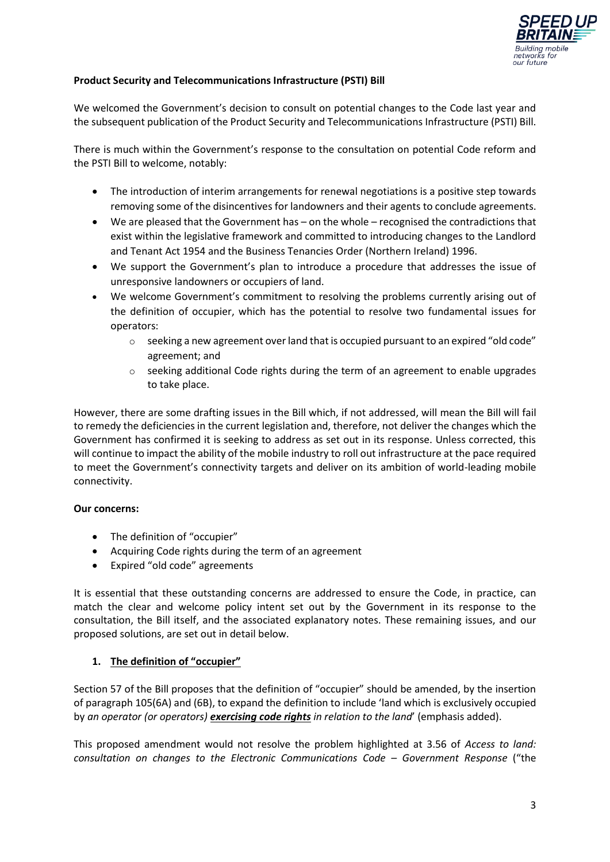

### **Product Security and Telecommunications Infrastructure (PSTI) Bill**

We welcomed the Government's decision to consult on potential changes to the Code last year and the subsequent publication of the Product Security and Telecommunications Infrastructure (PSTI) Bill.

There is much within the Government's response to the consultation on potential Code reform and the PSTI Bill to welcome, notably:

- The introduction of interim arrangements for renewal negotiations is a positive step towards removing some of the disincentives for landowners and their agents to conclude agreements.
- We are pleased that the Government has on the whole recognised the contradictions that exist within the legislative framework and committed to introducing changes to the Landlord and Tenant Act 1954 and the Business Tenancies Order (Northern Ireland) 1996.
- We support the Government's plan to introduce a procedure that addresses the issue of unresponsive landowners or occupiers of land.
- We welcome Government's commitment to resolving the problems currently arising out of the definition of occupier, which has the potential to resolve two fundamental issues for operators:
	- $\circ$  seeking a new agreement over land that is occupied pursuant to an expired "old code" agreement; and
	- $\circ$  seeking additional Code rights during the term of an agreement to enable upgrades to take place.

However, there are some drafting issues in the Bill which, if not addressed, will mean the Bill will fail to remedy the deficiencies in the current legislation and, therefore, not deliver the changes which the Government has confirmed it is seeking to address as set out in its response. Unless corrected, this will continue to impact the ability of the mobile industry to roll out infrastructure at the pace required to meet the Government's connectivity targets and deliver on its ambition of world-leading mobile connectivity.

# **Our concerns:**

- The definition of "occupier"
- Acquiring Code rights during the term of an agreement
- Expired "old code" agreements

It is essential that these outstanding concerns are addressed to ensure the Code, in practice, can match the clear and welcome policy intent set out by the Government in its response to the consultation, the Bill itself, and the associated explanatory notes. These remaining issues, and our proposed solutions, are set out in detail below.

# **1. The definition of "occupier"**

Section 57 of the Bill proposes that the definition of "occupier" should be amended, by the insertion of paragraph 105(6A) and (6B), to expand the definition to include 'land which is exclusively occupied by *an operator (or operators) exercising code rights in relation to the land*' (emphasis added).

This proposed amendment would not resolve the problem highlighted at 3.56 of *Access to land: consultation on changes to the Electronic Communications Code – Government Response* ("the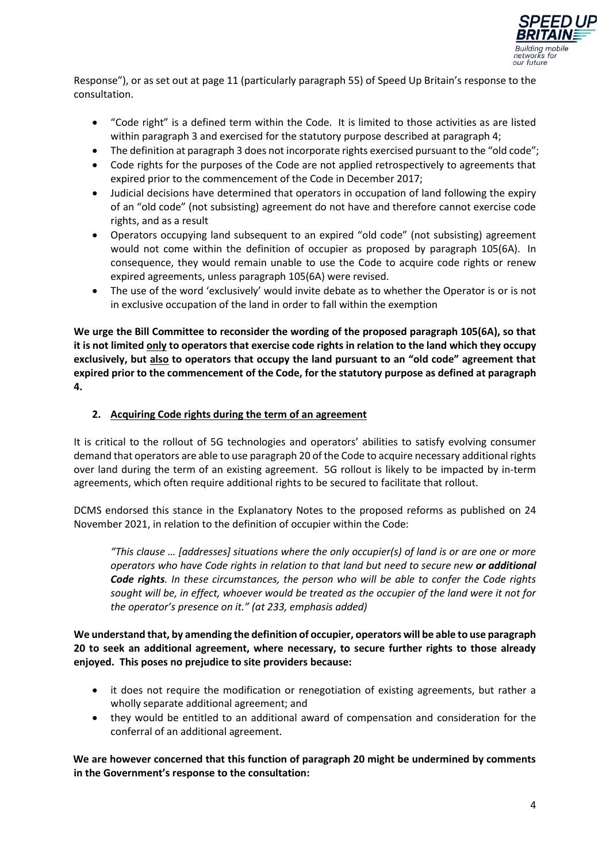

Response"), or as set out at page 11 (particularly paragraph 55) of Speed Up Britain's response to the consultation.

- "Code right" is a defined term within the Code. It is limited to those activities as are listed within paragraph 3 and exercised for the statutory purpose described at paragraph 4;
- The definition at paragraph 3 does not incorporate rights exercised pursuant to the "old code";
- Code rights for the purposes of the Code are not applied retrospectively to agreements that expired prior to the commencement of the Code in December 2017;
- Judicial decisions have determined that operators in occupation of land following the expiry of an "old code" (not subsisting) agreement do not have and therefore cannot exercise code rights, and as a result
- Operators occupying land subsequent to an expired "old code" (not subsisting) agreement would not come within the definition of occupier as proposed by paragraph 105(6A). In consequence, they would remain unable to use the Code to acquire code rights or renew expired agreements, unless paragraph 105(6A) were revised.
- The use of the word 'exclusively' would invite debate as to whether the Operator is or is not in exclusive occupation of the land in order to fall within the exemption

**We urge the Bill Committee to reconsider the wording of the proposed paragraph 105(6A), so that it is not limited only to operators that exercise code rights in relation to the land which they occupy exclusively, but also to operators that occupy the land pursuant to an "old code" agreement that expired prior to the commencement of the Code, for the statutory purpose as defined at paragraph 4.**

### **2. Acquiring Code rights during the term of an agreement**

It is critical to the rollout of 5G technologies and operators' abilities to satisfy evolving consumer demand that operators are able to use paragraph 20 of the Code to acquire necessary additional rights over land during the term of an existing agreement. 5G rollout is likely to be impacted by in-term agreements, which often require additional rights to be secured to facilitate that rollout.

DCMS endorsed this stance in the Explanatory Notes to the proposed reforms as published on 24 November 2021, in relation to the definition of occupier within the Code:

*"This clause … [addresses] situations where the only occupier(s) of land is or are one or more operators who have Code rights in relation to that land but need to secure new or additional Code rights. In these circumstances, the person who will be able to confer the Code rights sought will be, in effect, whoever would be treated as the occupier of the land were it not for the operator's presence on it." (at 233, emphasis added)*

**We understand that, by amending the definition of occupier, operators will be able to use paragraph 20 to seek an additional agreement, where necessary, to secure further rights to those already enjoyed. This poses no prejudice to site providers because:** 

- it does not require the modification or renegotiation of existing agreements, but rather a wholly separate additional agreement; and
- they would be entitled to an additional award of compensation and consideration for the conferral of an additional agreement.

**We are however concerned that this function of paragraph 20 might be undermined by comments in the Government's response to the consultation:**